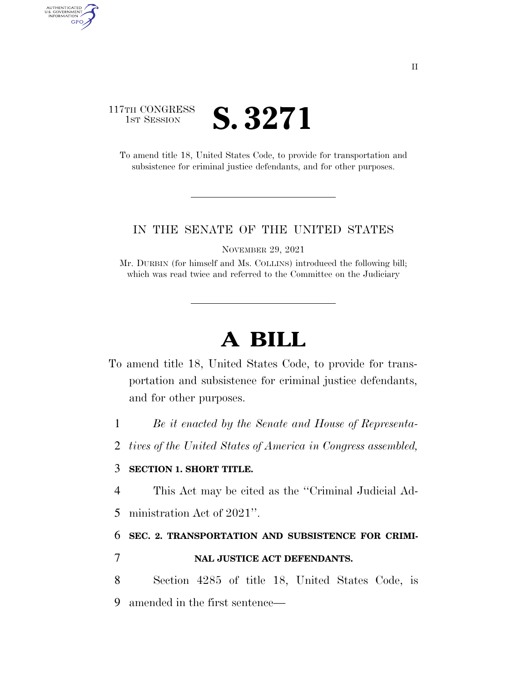# 117TH CONGRESS TH CONGRESS **S. 3271**

AUTHENTICATED<br>U.S. GOVERNMENT<br>INFORMATION GPO

> To amend title 18, United States Code, to provide for transportation and subsistence for criminal justice defendants, and for other purposes.

### IN THE SENATE OF THE UNITED STATES

NOVEMBER 29, 2021

Mr. DURBIN (for himself and Ms. COLLINS) introduced the following bill; which was read twice and referred to the Committee on the Judiciary

# **A BILL**

- To amend title 18, United States Code, to provide for transportation and subsistence for criminal justice defendants, and for other purposes.
	- 1 *Be it enacted by the Senate and House of Representa-*
	- 2 *tives of the United States of America in Congress assembled,*

## 3 **SECTION 1. SHORT TITLE.**

- 4 This Act may be cited as the ''Criminal Judicial Ad-
- 5 ministration Act of 2021''.

### 6 **SEC. 2. TRANSPORTATION AND SUBSISTENCE FOR CRIMI-**

- 7 **NAL JUSTICE ACT DEFENDANTS.**
- 8 Section 4285 of title 18, United States Code, is 9 amended in the first sentence—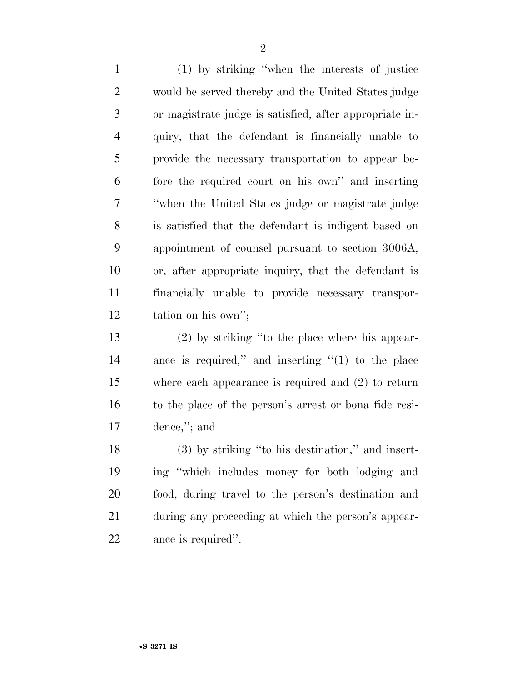(1) by striking ''when the interests of justice would be served thereby and the United States judge or magistrate judge is satisfied, after appropriate in- quiry, that the defendant is financially unable to provide the necessary transportation to appear be- fore the required court on his own'' and inserting ''when the United States judge or magistrate judge is satisfied that the defendant is indigent based on appointment of counsel pursuant to section 3006A, or, after appropriate inquiry, that the defendant is financially unable to provide necessary transpor-tation on his own'';

 (2) by striking ''to the place where his appear- ance is required,'' and inserting ''(1) to the place where each appearance is required and (2) to return to the place of the person's arrest or bona fide resi-dence,''; and

 (3) by striking ''to his destination,'' and insert- ing ''which includes money for both lodging and food, during travel to the person's destination and during any proceeding at which the person's appear-ance is required''.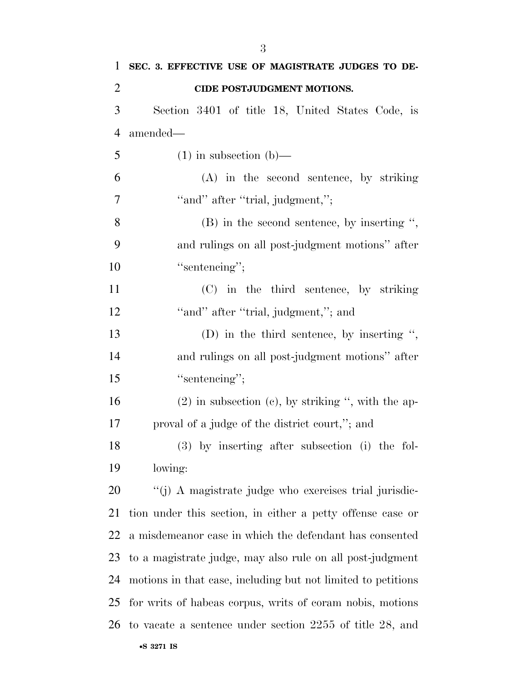| $\mathbf{1}$   | SEC. 3. EFFECTIVE USE OF MAGISTRATE JUDGES TO DE-            |
|----------------|--------------------------------------------------------------|
| $\overline{2}$ | CIDE POSTJUDGMENT MOTIONS.                                   |
| 3              | Section 3401 of title 18, United States Code, is             |
| $\overline{4}$ | amended—                                                     |
| 5              | $(1)$ in subsection $(b)$ —                                  |
| 6              | $(A)$ in the second sentence, by striking                    |
| 7              | "and" after "trial, judgment,";                              |
| 8              | $(B)$ in the second sentence, by inserting ",                |
| 9              | and rulings on all post-judgment motions" after              |
| 10             | "sentencing";                                                |
| 11             | (C) in the third sentence, by striking                       |
| 12             | "and" after "trial, judgment,"; and                          |
| 13             | (D) in the third sentence, by inserting ",                   |
| 14             | and rulings on all post-judgment motions" after              |
| 15             | "sentencing";                                                |
| 16             | $(2)$ in subsection $(e)$ , by striking ", with the ap-      |
| 17             | proval of a judge of the district court,"; and               |
| 18             | (3) by inserting after subsection (i) the fol-               |
| 19             | lowing:                                                      |
| 20             | "(j) A magistrate judge who exercises trial jurisdic-        |
| 21             | tion under this section, in either a petty offense case or   |
| 22             | a misdemean or case in which the defendant has consented     |
| 23             | to a magistrate judge, may also rule on all post-judgment    |
| 24             | motions in that case, including but not limited to petitions |
| 25             | for writs of habeas corpus, writs of coram nobis, motions    |
| 26             | to vacate a sentence under section 2255 of title 28, and     |
|                | •S 3271 IS                                                   |